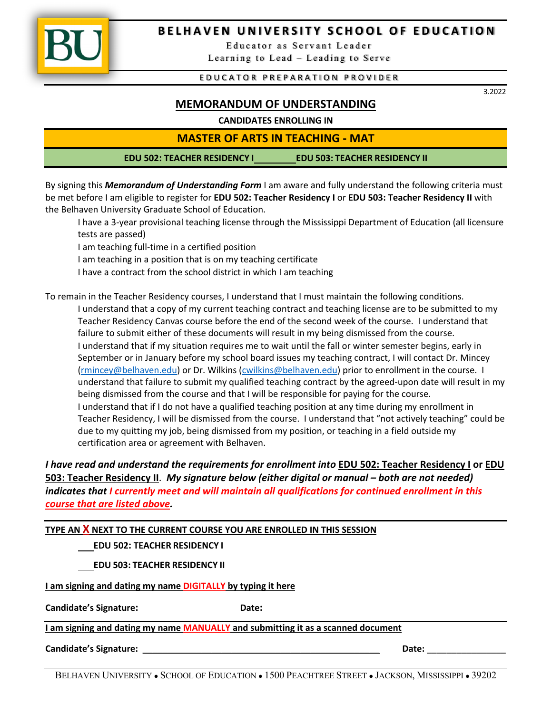

## **BELHAVEN UNIVERSITY SCHOOL OF EDUCATION**

 Educator as Servant Leader Learning to Lead – Leading to Serve

## EDUCATOR PREPARATION PROVIDER

3.2022

## **MEMORANDUM OF UNDERSTANDING**

## **CANDIDATES ENROLLING IN**

**MASTER OF ARTS IN TEACHING - MAT**

**EDU 502: TEACHER RESIDENCY I EDU 503: TEACHER RESIDENCY II**

By signing this *Memorandum of Understanding Form* I am aware and fully understand the following criteria must be met before I am eligible to register for **EDU 502: Teacher Residency I** or **EDU 503: Teacher Residency II** with the Belhaven University Graduate School of Education.

 I have a 3-year provisional teaching license through the Mississippi Department of Education (all licensure tests are passed)

I am teaching full-time in a certified position

I am teaching in a position that is on my teaching certificate

I have a contract from the school district in which I am teaching

To remain in the Teacher Residency courses, I understand that I must maintain the following conditions.

 I understand that a copy of my current teaching contract and teaching license are to be submitted to my Teacher Residency Canvas course before the end of the second week of the course. I understand that failure to submit either of these documents will result in my being dismissed from the course. I understand that if my situation requires me to wait until the fall or winter semester begins, early in September or in January before my school board issues my teaching contract, I will contact Dr. Mincey (rmincey@belhaven.edu) or Dr. Wilkins (cwilkins@belhaven.edu) prior to enrollment in the course. I understand that failure to submit my qualified teaching contract by the agreed-upon date will result in my being dismissed from the course and that I will be responsible for paying for the course. I understand that if I do not have a qualified teaching position at any time during my enrollment in Teacher Residency, I will be dismissed from the course. I understand that "not actively teaching" could be due to my quitting my job, being dismissed from my position, or teaching in a field outside my certification area or agreement with Belhaven.

*I have read and understand the requirements for enrollment into* **EDU 502: Teacher Residency I or EDU 503: Teacher Residency II**. *My signature below (either digital or manual – both are not needed) indicates that I currently meet and will maintain all qualifications for continued enrollment in this course that are listed above.*

**TYPE AN X NEXT TO THE CURRENT COURSE YOU ARE ENROLLED IN THIS SESSION**

 **EDU 502: TEACHER RESIDENCY I**

 **EDU 503: TEACHER RESIDENCY II**

**I am signing and dating my name DIGITALLY by typing it here** 

**Candidate's Signature: Date:** 

**I am signing and dating my name MANUALLY and submitting it as a scanned document**

**Candidate's Signature:** \_\_\_\_\_\_\_\_\_\_\_\_\_\_\_\_\_\_\_\_\_\_\_\_\_\_\_\_\_\_\_\_\_\_\_\_\_\_\_\_\_\_\_\_\_\_\_\_ **Date:** \_\_\_\_\_\_\_\_\_\_\_\_\_\_\_\_